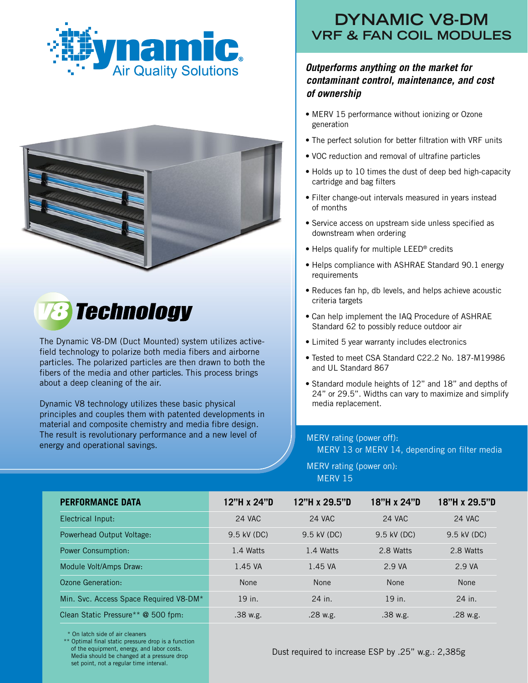





The Dynamic V8-DM (Duct Mounted) system utilizes activefield technology to polarize both media fibers and airborne particles. The polarized particles are then drawn to both the fibers of the media and other particles. This process brings about a deep cleaning of the air.

Dynamic V8 technology utilizes these basic physical principles and couples them with patented developments in material and composite chemistry and media fibre design. The result is revolutionary performance and a new level of energy and operational savings.

## **DYNAMIC V8-DM VRF & FAN COIL MODULES**

## *Outperforms anything on the market for contaminant control, maintenance, and cost of ownership*

- MERV 15 performance without ionizing or Ozone generation
- The perfect solution for better filtration with VRF units
- VOC reduction and removal of ultrafine particles
- Holds up to 10 times the dust of deep bed high-capacity cartridge and bag filters
- Filter change-out intervals measured in years instead of months
- Service access on upstream side unless specified as downstream when ordering
- Helps qualify for multiple LEED® credits
- Helps compliance with ASHRAE Standard 90.1 energy requirements
- Reduces fan hp, db levels, and helps achieve acoustic criteria targets
- Can help implement the IAQ Procedure of ASHRAE Standard 62 to possibly reduce outdoor air
- Limited 5 year warranty includes electronics
- Tested to meet CSA Standard C22.2 No. 187-M19986 and UL Standard 867
- Standard module heights of 12" and 18" and depths of 24" or 29.5". Widths can vary to maximize and simplify media replacement.

## MERV rating (power off):

MERV 13 or MERV 14, depending on filter media

MERV rating (power on): MERV 15

| <b>PERFORMANCE DATA</b>                | 12"H x 24"D | 12"H x 29.5"D | 18"H x 24"D   | 18"H x 29.5"D |
|----------------------------------------|-------------|---------------|---------------|---------------|
| Electrical Input:                      | 24 VAC      | <b>24 VAC</b> | <b>24 VAC</b> | <b>24 VAC</b> |
| Powerhead Output Voltage:              | 9.5 kV (DC) | 9.5 kV (DC)   | 9.5 kV (DC)   | 9.5 kV (DC)   |
| <b>Power Consumption:</b>              | 1.4 Watts   | 1.4 Watts     | 2.8 Watts     | 2.8 Watts     |
| Module Volt/Amps Draw:                 | 1.45 VA     | 1.45 VA       | 2.9 VA        | 2.9 VA        |
| Ozone Generation:                      | None        | None          | None          | <b>None</b>   |
| Min. Svc. Access Space Required V8-DM* | 19 in.      | 24 in.        | 19 in.        | 24 in.        |
| Clean Static Pressure** @ 500 fpm:     | .38 w.g.    | $.28$ w.g.    | .38 w.g.      | $.28$ w.g.    |

\* On latch side of air cleaners

 \*\* Optimal final static pressure drop is a function of the equipment, energy, and labor costs. Media should be changed at a pressure drop set point, not a regular time interval.